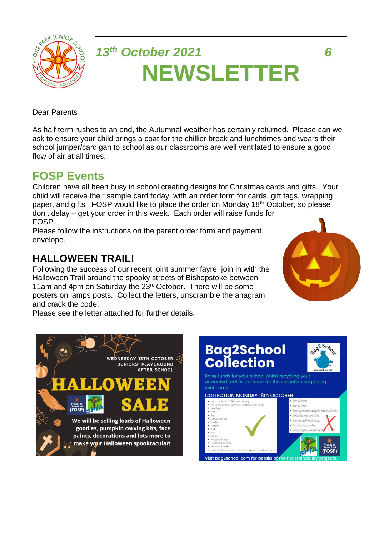

# *13th October 2021 6* **NEWSLETTER**

Dear Parents

As half term rushes to an end, the Autumnal weather has certainly returned. Please can we ask to ensure your child brings a coat for the chillier break and lunchtimes and wears their school jumper/cardigan to school as our classrooms are well ventilated to ensure a good flow of air at all times.

### **FOSP Events**

Children have all been busy in school creating designs for Christmas cards and gifts. Your child will receive their sample card today, with an order form for cards, gift tags, wrapping paper, and gifts. FOSP would like to place the order on Monday 18<sup>th</sup> October, so please don't delay – get your order in this week. Each order will raise funds for FOSP.

Please follow the instructions on the parent order form and payment envelope.

#### **HALLOWEEN TRAIL!**

Following the success of our recent joint summer fayre, join in with the Halloween Trail around the spooky streets of Bishopstoke between 11am and 4pm on Saturday the 23<sup>rd</sup> October. There will be some posters on lamps posts. Collect the letters, unscramble the anagram, and crack the code.

Please see the letter attached for further details.





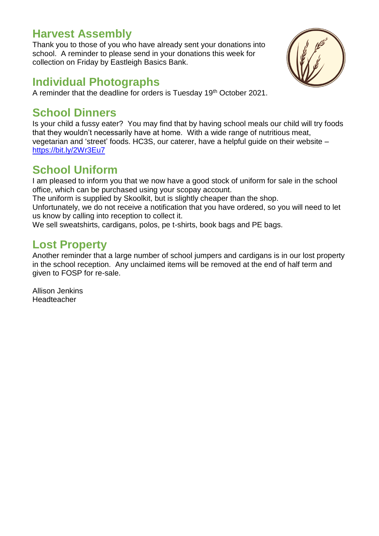#### **Harvest Assembly**

Thank you to those of you who have already sent your donations into school. A reminder to please send in your donations this week for collection on Friday by Eastleigh Basics Bank.



#### **Individual Photographs**

A reminder that the deadline for orders is Tuesday 19th October 2021.

#### **School Dinners**

Is your child a fussy eater? You may find that by having school meals our child will try foods that they wouldn't necessarily have at home. With a wide range of nutritious meat, vegetarian and 'street' foods. HC3S, our caterer, have a helpful guide on their website – <https://bit.ly/2Wr3Eu7>

## **School Uniform**

I am pleased to inform you that we now have a good stock of uniform for sale in the school office, which can be purchased using your scopay account.

The uniform is supplied by Skoolkit, but is slightly cheaper than the shop.

Unfortunately, we do not receive a notification that you have ordered, so you will need to let us know by calling into reception to collect it.

We sell sweatshirts, cardigans, polos, pe t-shirts, book bags and PE bags.

### **Lost Property**

Another reminder that a large number of school jumpers and cardigans is in our lost property in the school reception. Any unclaimed items will be removed at the end of half term and given to FOSP for re-sale.

Allison Jenkins Headteacher